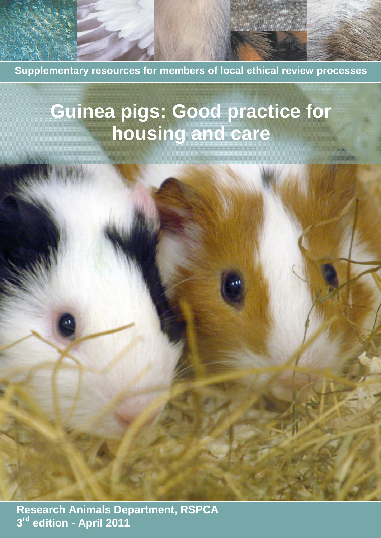**Supplementary resources for members of local ethical review processes**

# **Guinea pigs: Good practice for housing and care**

 **Research Animals Department, RSPCA 3 rd edition - April 2011**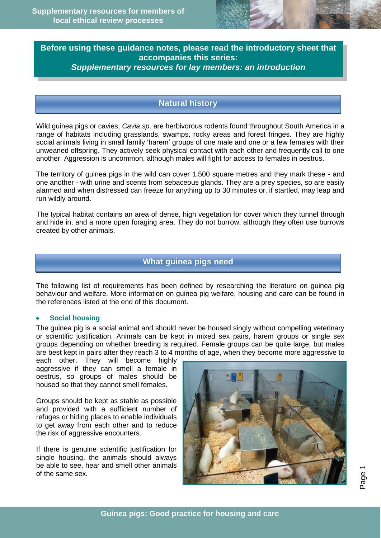

# **Before using these guidance notes, please read the introductory sheet that accompanies this series:**  *Supplementary resources for lay members: an introduction*

# **Natural history**

Wild guinea pigs or cavies, *Cavia sp*. are herbivorous rodents found throughout South America in a range of habitats including grasslands, swamps, rocky areas and forest fringes. They are highly social animals living in small family 'harem' groups of one male and one or a few females with their unweaned offspring. They actively seek physical contact with each other and frequently call to one another. Aggression is uncommon, although males will fight for access to females in oestrus.

The territory of guinea pigs in the wild can cover 1,500 square metres and they mark these - and one another - with urine and scents from sebaceous glands. They are a prey species, so are easily alarmed and when distressed can freeze for anything up to 30 minutes or, if startled, may leap and run wildly around.

The typical habitat contains an area of dense, high vegetation for cover which they tunnel through and hide in, and a more open foraging area. They do not burrow, although they often use burrows created by other animals.

### **What guinea pigs need**

The following list of requirements has been defined by researching the literature on guinea pig behaviour and welfare. More information on guinea pig welfare, housing and care can be found in the references listed at the end of this document.

#### **Social housing**

The guinea pig is a social animal and should never be housed singly without compelling veterinary or scientific justification. Animals can be kept in mixed sex pairs, harem groups or single sex groups depending on whether breeding is required. Female groups can be quite large, but males are best kept in pairs after they reach 3 to 4 months of age, when they become more aggressive to

each other. They will become highly aggressive if they can smell a female in oestrus, so groups of males should be housed so that they cannot smell females.

Groups should be kept as stable as possible and provided with a sufficient number of refuges or hiding places to enable individuals to get away from each other and to reduce the risk of aggressive encounters.

If there is genuine scientific justification for single housing, the animals should always be able to see, hear and smell other animals of the same sex.



Page 1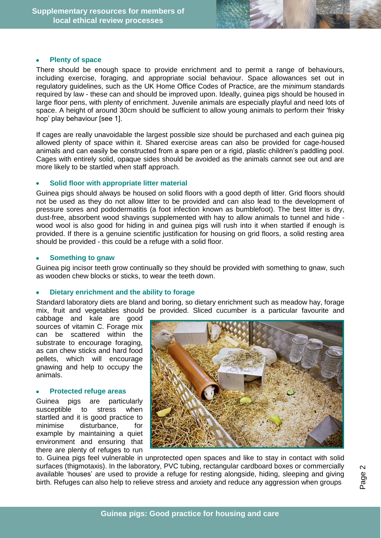#### **Plenty of space**

There should be enough space to provide enrichment and to permit a range of behaviours, including exercise, foraging, and appropriate social behaviour. Space allowances set out in regulatory guidelines, such as the UK Home Office Codes of Practice, are the *minimum* standards required by law - these can and should be improved upon. Ideally, guinea pigs should be housed in large floor pens, with plenty of enrichment. Juvenile animals are especially playful and need lots of space. A height of around 30cm should be sufficient to allow young animals to perform their 'frisky hop' play behaviour [see 1].

If cages are really unavoidable the largest possible size should be purchased and each guinea pig allowed plenty of space within it. Shared exercise areas can also be provided for cage-housed animals and can easily be constructed from a spare pen or a rigid, plastic children's paddling pool. Cages with entirely solid, opaque sides should be avoided as the animals cannot see out and are more likely to be startled when staff approach.

#### **Solid floor with appropriate litter material**

Guinea pigs should always be housed on solid floors with a good depth of litter. Grid floors should not be used as they do not allow litter to be provided and can also lead to the development of pressure sores and pododermatitis (a foot infection known as bumblefoot). The best litter is dry, dust-free, absorbent wood shavings supplemented with hay to allow animals to tunnel and hide wood wool is also good for hiding in and guinea pigs will rush into it when startled if enough is provided. If there is a genuine scientific justification for housing on grid floors, a solid resting area should be provided - this could be a refuge with a solid floor.

#### **Something to gnaw**

Guinea pig incisor teeth grow continually so they should be provided with something to gnaw, such as wooden chew blocks or sticks, to wear the teeth down.

#### **Dietary enrichment and the ability to forage**

Standard laboratory diets are bland and boring, so dietary enrichment such as meadow hay, forage mix, fruit and vegetables should be provided. Sliced cucumber is a particular favourite and

cabbage and kale are good sources of vitamin C. Forage mix can be scattered within the substrate to encourage foraging, as can chew sticks and hard food pellets, which will encourage gnawing and help to occupy the animals.

#### **Protected refuge areas**

Guinea pigs are particularly susceptible to stress when startled and it is good practice to minimise disturbance, for example by maintaining a quiet environment and ensuring that there are plenty of refuges to run



to. Guinea pigs feel vulnerable in unprotected open spaces and like to stay in contact with solid surfaces (thigmotaxis). In the laboratory, PVC tubing, rectangular cardboard boxes or commercially available 'houses' are used to provide a refuge for resting alongside, hiding, sleeping and giving birth. Refuges can also help to relieve stress and anxiety and reduce any aggression when groups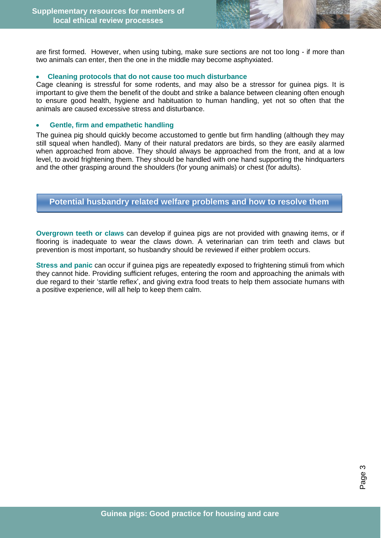are first formed. However, when using tubing, make sure sections are not too long - if more than two animals can enter, then the one in the middle may become asphyxiated.

#### **Cleaning protocols that do not cause too much disturbance**

Cage cleaning is stressful for some rodents, and may also be a stressor for guinea pigs. It is important to give them the benefit of the doubt and strike a balance between cleaning often enough to ensure good health, hygiene and habituation to human handling, yet not so often that the animals are caused excessive stress and disturbance.

#### **Gentle, firm and empathetic handling**

The guinea pig should quickly become accustomed to gentle but firm handling (although they may still squeal when handled). Many of their natural predators are birds, so they are easily alarmed when approached from above. They should always be approached from the front, and at a low level, to avoid frightening them. They should be handled with one hand supporting the hindquarters and the other grasping around the shoulders (for young animals) or chest (for adults).

## **Potential husbandry related welfare problems and how to resolve them**

**Overgrown teeth or claws** can develop if guinea pigs are not provided with gnawing items, or if flooring is inadequate to wear the claws down. A veterinarian can trim teeth and claws but prevention is most important, so husbandry should be reviewed if either problem occurs.

**Stress and panic** can occur if guinea pigs are repeatedly exposed to frightening stimuli from which they cannot hide. Providing sufficient refuges, entering the room and approaching the animals with due regard to their 'startle reflex', and giving extra food treats to help them associate humans with a positive experience, will all help to keep them calm.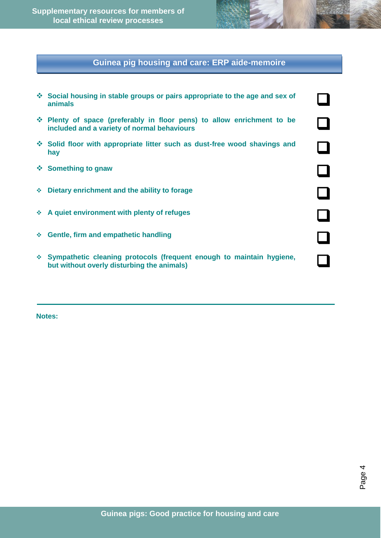**Supplementary resources for members of local ethical review processes**

# **Guinea pig housing and care: ERP aide-memoire**

| ❖ Social housing in stable groups or pairs appropriate to the age and sex of<br>animals                               |  |
|-----------------------------------------------------------------------------------------------------------------------|--|
| • Plenty of space (preferably in floor pens) to allow enrichment to be<br>included and a variety of normal behaviours |  |
| ❖ Solid floor with appropriate litter such as dust-free wood shavings and<br>hay                                      |  |
| ❖ Something to gnaw                                                                                                   |  |
| $\div$ Dietary enrichment and the ability to forage                                                                   |  |
| A quiet environment with plenty of refuges                                                                            |  |
| ❖ Gentle, firm and empathetic handling                                                                                |  |
| ❖ Sympathetic cleaning protocols (frequent enough to maintain hygiene,<br>but without overly disturbing the animals)  |  |
|                                                                                                                       |  |

**Notes:**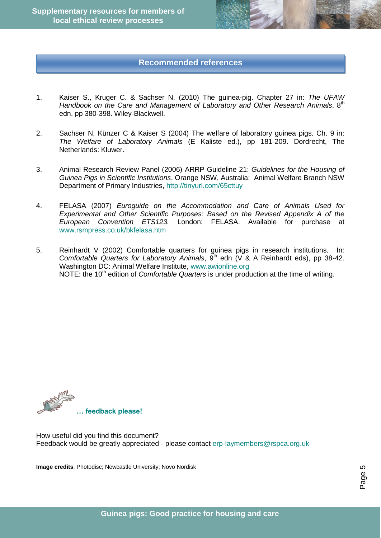# **Recommended references**

- 1. Kaiser S., Kruger C. & Sachser N. (2010) The guinea-pig. Chapter 27 in: *The UFAW*  Handbook on the Care and Management of Laboratory and Other Research Animals, 8<sup>th</sup> edn, pp 380-398. Wiley-Blackwell.
- 2. Sachser N, Künzer C & Kaiser S (2004) The welfare of laboratory guinea pigs. Ch. 9 in: *The Welfare of Laboratory Animals* (E Kaliste ed.), pp 181-209. Dordrecht, The Netherlands: Kluwer.
- 3. Animal Research Review Panel (2006) ARRP Guideline 21: *Guidelines for the Housing of Guinea Pigs in Scientific Institutions*. Orange NSW, Australia: Animal Welfare Branch NSW Department of Primary Industries,<http://tinyurl.com/65cttuy>
- 4. FELASA (2007) *Euroguide on the Accommodation and Care of Animals Used for Experimental and Other Scientific Purposes: Based on the Revised Appendix A of the European Convention ETS123.* London: FELASA. Available for purchase at [www.rsmpress.co.uk/bkfelasa.htm](http://www.rsmpress.co.uk/bkfelasa.htm)
- 5. Reinhardt V (2002) Comfortable quarters for guinea pigs in research institutions. In: *Comfortable Quarters for Laboratory Animals*, 9<sup>th</sup> edn (V & A Reinhardt eds), pp 38-42. Washington DC: Animal Welfare Institute, www.awionline.org NOTE: the 10<sup>th</sup> edition of *Comfortable Quarters* is under production at the time of writing.



How useful did you find this document? Feedback would be greatly appreciated - please contact [erp-laymembers@rspca.org.uk](mailto:erp-laymembers@rspca.org.uk)

**Image credits**: Photodisc; Newcastle University; Novo Nordisk